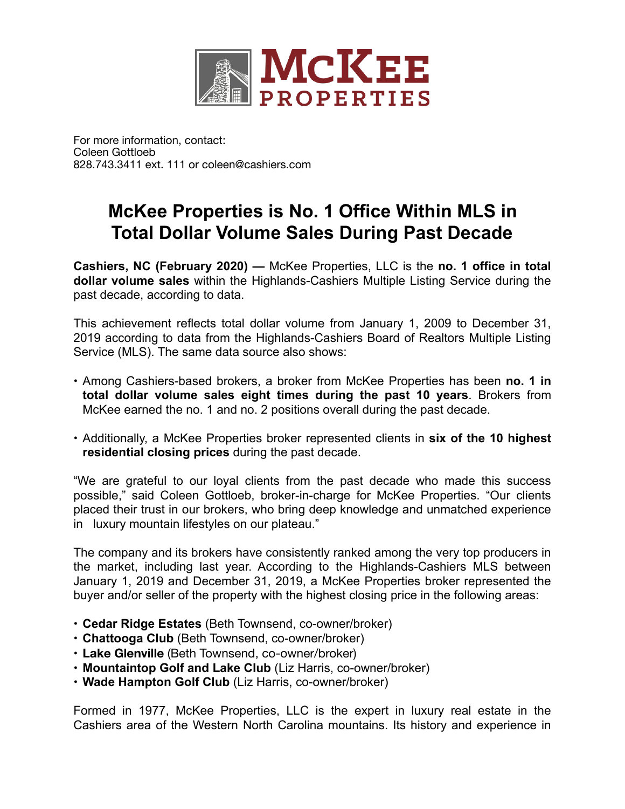

For more information, contact: Coleen Gottloeb 828.743.3411 ext. 111 or coleen@cashiers.com

## **McKee Properties is No. 1 Office Within MLS in Total Dollar Volume Sales During Past Decade**

**Cashiers, NC (February 2020) —** McKee Properties, LLC is the **no. 1 office in total dollar volume sales** within the Highlands-Cashiers Multiple Listing Service during the past decade, according to data.

This achievement reflects total dollar volume from January 1, 2009 to December 31, 2019 according to data from the Highlands-Cashiers Board of Realtors Multiple Listing Service (MLS). The same data source also shows:

- Among Cashiers-based brokers, a broker from McKee Properties has been **no. 1 in total dollar volume sales eight times during the past 10 years**. Brokers from McKee earned the no. 1 and no. 2 positions overall during the past decade.
- Additionally, a McKee Properties broker represented clients in **six of the 10 highest residential closing prices** during the past decade.

"We are grateful to our loyal clients from the past decade who made this success possible," said Coleen Gottloeb, broker-in-charge for McKee Properties. "Our clients placed their trust in our brokers, who bring deep knowledge and unmatched experience in luxury mountain lifestyles on our plateau."

The company and its brokers have consistently ranked among the very top producers in the market, including last year. According to the Highlands-Cashiers MLS between January 1, 2019 and December 31, 2019, a McKee Properties broker represented the buyer and/or seller of the property with the highest closing price in the following areas:

- **Cedar Ridge Estates** (Beth Townsend, co-owner/broker)
- **Chattooga Club** (Beth Townsend, co-owner/broker)
- **Lake Glenville** (Beth Townsend, co-owner/broker)
- **Mountaintop Golf and Lake Club** (Liz Harris, co-owner/broker)
- **Wade Hampton Golf Club** (Liz Harris, co-owner/broker)

Formed in 1977, McKee Properties, LLC is the expert in luxury real estate in the Cashiers area of the Western North Carolina mountains. Its history and experience in